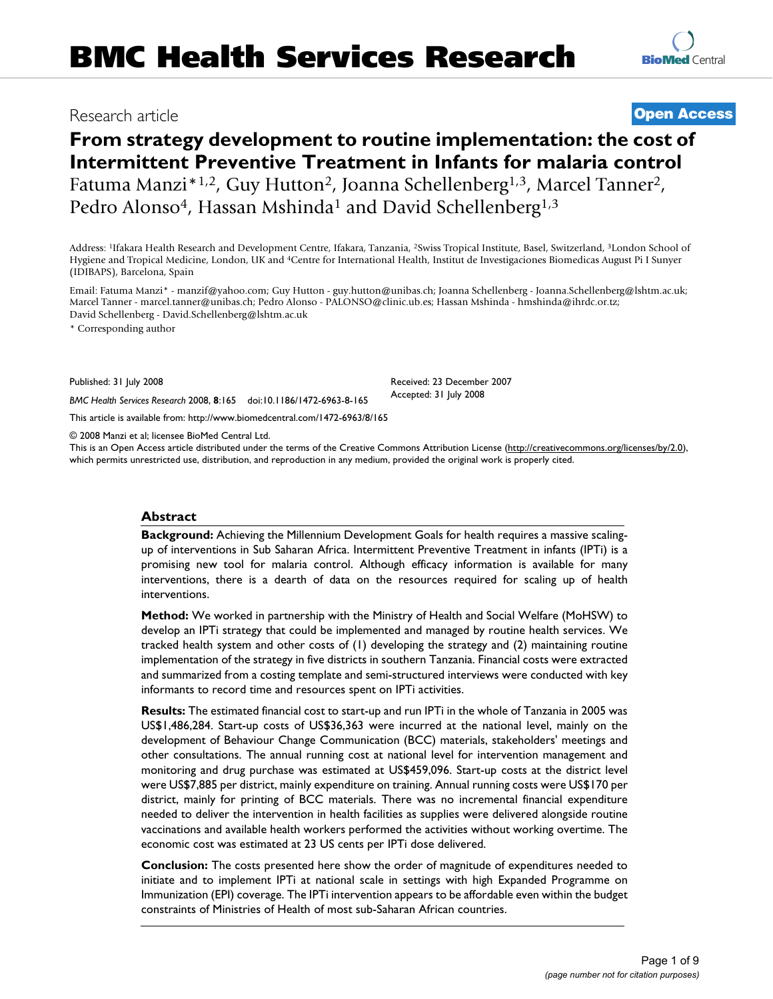# Research article **[Open Access](http://www.biomedcentral.com/info/about/charter/)**

# **From strategy development to routine implementation: the cost of Intermittent Preventive Treatment in Infants for malaria control** Fatuma Manzi\*1,2, Guy Hutton2, Joanna Schellenberg1,3, Marcel Tanner2, Pedro Alonso<sup>4</sup>, Hassan Mshinda<sup>1</sup> and David Schellenberg<sup>1,3</sup>

Address: 1Ifakara Health Research and Development Centre, Ifakara, Tanzania, 2Swiss Tropical Institute, Basel, Switzerland, 3London School of Hygiene and Tropical Medicine, London, UK and 4Centre for International Health, Institut de Investigaciones Biomedicas August Pi I Sunyer (IDIBAPS), Barcelona, Spain

Email: Fatuma Manzi\* - manzif@yahoo.com; Guy Hutton - guy.hutton@unibas.ch; Joanna Schellenberg - Joanna.Schellenberg@lshtm.ac.uk; Marcel Tanner - marcel.tanner@unibas.ch; Pedro Alonso - PALONSO@clinic.ub.es; Hassan Mshinda - hmshinda@ihrdc.or.tz; David Schellenberg - David.Schellenberg@lshtm.ac.uk

\* Corresponding author

Published: 31 July 2008

*BMC Health Services Research* 2008, **8**:165 doi:10.1186/1472-6963-8-165

[This article is available from: http://www.biomedcentral.com/1472-6963/8/165](http://www.biomedcentral.com/1472-6963/8/165)

© 2008 Manzi et al; licensee BioMed Central Ltd.

This is an Open Access article distributed under the terms of the Creative Commons Attribution License [\(http://creativecommons.org/licenses/by/2.0\)](http://creativecommons.org/licenses/by/2.0), which permits unrestricted use, distribution, and reproduction in any medium, provided the original work is properly cited.

# **Abstract**

**Background:** Achieving the Millennium Development Goals for health requires a massive scalingup of interventions in Sub Saharan Africa. Intermittent Preventive Treatment in infants (IPTi) is a promising new tool for malaria control. Although efficacy information is available for many interventions, there is a dearth of data on the resources required for scaling up of health interventions.

**Method:** We worked in partnership with the Ministry of Health and Social Welfare (MoHSW) to develop an IPTi strategy that could be implemented and managed by routine health services. We tracked health system and other costs of (1) developing the strategy and (2) maintaining routine implementation of the strategy in five districts in southern Tanzania. Financial costs were extracted and summarized from a costing template and semi-structured interviews were conducted with key informants to record time and resources spent on IPTi activities.

**Results:** The estimated financial cost to start-up and run IPTi in the whole of Tanzania in 2005 was US\$1,486,284. Start-up costs of US\$36,363 were incurred at the national level, mainly on the development of Behaviour Change Communication (BCC) materials, stakeholders' meetings and other consultations. The annual running cost at national level for intervention management and monitoring and drug purchase was estimated at US\$459,096. Start-up costs at the district level were US\$7,885 per district, mainly expenditure on training. Annual running costs were US\$170 per district, mainly for printing of BCC materials. There was no incremental financial expenditure needed to deliver the intervention in health facilities as supplies were delivered alongside routine vaccinations and available health workers performed the activities without working overtime. The economic cost was estimated at 23 US cents per IPTi dose delivered.

**Conclusion:** The costs presented here show the order of magnitude of expenditures needed to initiate and to implement IPTi at national scale in settings with high Expanded Programme on Immunization (EPI) coverage. The IPTi intervention appears to be affordable even within the budget constraints of Ministries of Health of most sub-Saharan African countries.

Received: 23 December 2007 Accepted: 31 July 2008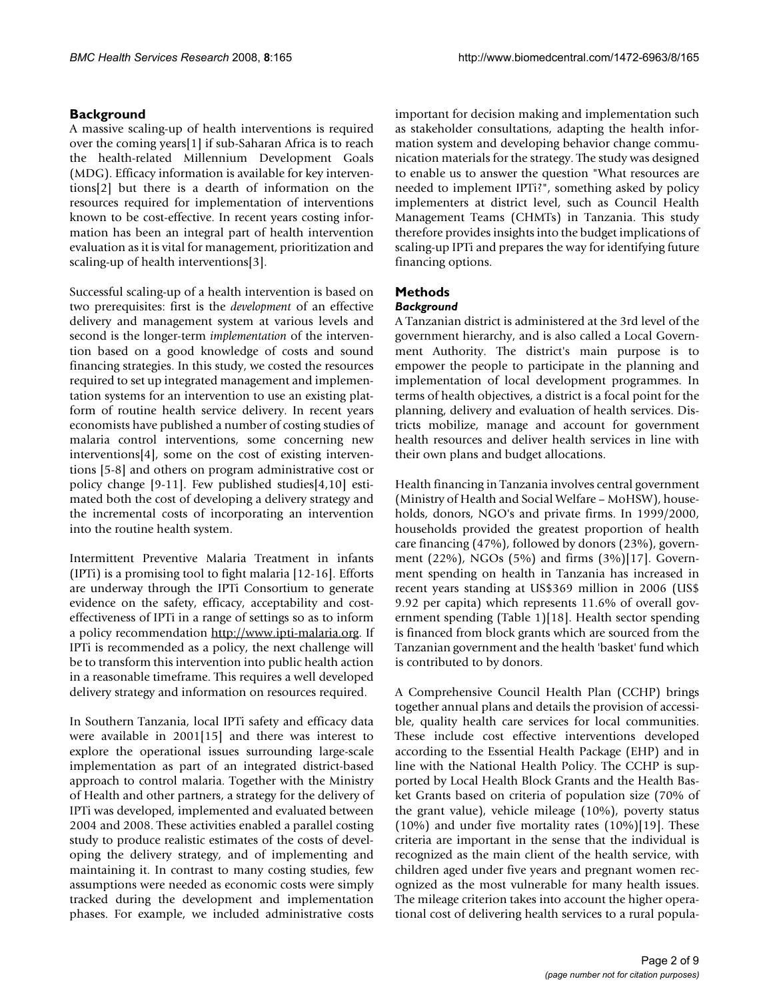# **Background**

A massive scaling-up of health interventions is required over the coming years[1] if sub-Saharan Africa is to reach the health-related Millennium Development Goals (MDG). Efficacy information is available for key interventions[2] but there is a dearth of information on the resources required for implementation of interventions known to be cost-effective. In recent years costing information has been an integral part of health intervention evaluation as it is vital for management, prioritization and scaling-up of health interventions[3].

Successful scaling-up of a health intervention is based on two prerequisites: first is the *development* of an effective delivery and management system at various levels and second is the longer-term *implementation* of the intervention based on a good knowledge of costs and sound financing strategies. In this study, we costed the resources required to set up integrated management and implementation systems for an intervention to use an existing platform of routine health service delivery. In recent years economists have published a number of costing studies of malaria control interventions, some concerning new interventions[4], some on the cost of existing interventions [5-8] and others on program administrative cost or policy change [9-11]. Few published studies[4,10] estimated both the cost of developing a delivery strategy and the incremental costs of incorporating an intervention into the routine health system.

Intermittent Preventive Malaria Treatment in infants (IPTi) is a promising tool to fight malaria [12-16]. Efforts are underway through the IPTi Consortium to generate evidence on the safety, efficacy, acceptability and costeffectiveness of IPTi in a range of settings so as to inform a policy recommendation <http://www.ipti-malaria.org>. If IPTi is recommended as a policy, the next challenge will be to transform this intervention into public health action in a reasonable timeframe. This requires a well developed delivery strategy and information on resources required.

In Southern Tanzania, local IPTi safety and efficacy data were available in 2001[15] and there was interest to explore the operational issues surrounding large-scale implementation as part of an integrated district-based approach to control malaria. Together with the Ministry of Health and other partners, a strategy for the delivery of IPTi was developed, implemented and evaluated between 2004 and 2008. These activities enabled a parallel costing study to produce realistic estimates of the costs of developing the delivery strategy, and of implementing and maintaining it. In contrast to many costing studies, few assumptions were needed as economic costs were simply tracked during the development and implementation phases. For example, we included administrative costs

important for decision making and implementation such as stakeholder consultations, adapting the health information system and developing behavior change communication materials for the strategy. The study was designed to enable us to answer the question "What resources are needed to implement IPTi?", something asked by policy implementers at district level, such as Council Health Management Teams (CHMTs) in Tanzania. This study therefore provides insights into the budget implications of scaling-up IPTi and prepares the way for identifying future financing options.

# **Methods**

# *Background*

A Tanzanian district is administered at the 3rd level of the government hierarchy, and is also called a Local Government Authority. The district's main purpose is to empower the people to participate in the planning and implementation of local development programmes. In terms of health objectives, a district is a focal point for the planning, delivery and evaluation of health services. Districts mobilize, manage and account for government health resources and deliver health services in line with their own plans and budget allocations.

Health financing in Tanzania involves central government (Ministry of Health and Social Welfare – MoHSW), households, donors, NGO's and private firms. In 1999/2000, households provided the greatest proportion of health care financing (47%), followed by donors (23%), government (22%), NGOs (5%) and firms (3%)[17]. Government spending on health in Tanzania has increased in recent years standing at US\$369 million in 2006 (US\$ 9.92 per capita) which represents 11.6% of overall government spending (Table 1)[18]. Health sector spending is financed from block grants which are sourced from the Tanzanian government and the health 'basket' fund which is contributed to by donors.

A Comprehensive Council Health Plan (CCHP) brings together annual plans and details the provision of accessible, quality health care services for local communities. These include cost effective interventions developed according to the Essential Health Package (EHP) and in line with the National Health Policy. The CCHP is supported by Local Health Block Grants and the Health Basket Grants based on criteria of population size (70% of the grant value), vehicle mileage (10%), poverty status  $(10\%)$  and under five mortality rates  $(10\%)$ [19]. These criteria are important in the sense that the individual is recognized as the main client of the health service, with children aged under five years and pregnant women recognized as the most vulnerable for many health issues. The mileage criterion takes into account the higher operational cost of delivering health services to a rural popula-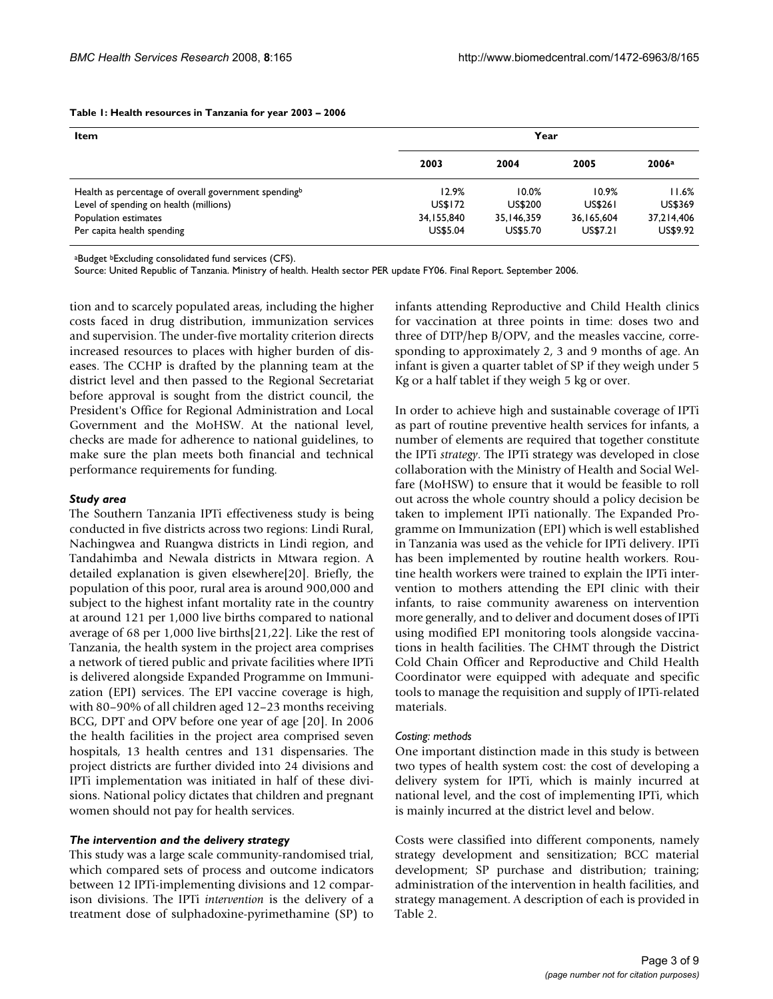| <b>Item</b>                                                      | Year           |            |                |                   |  |
|------------------------------------------------------------------|----------------|------------|----------------|-------------------|--|
|                                                                  | 2003           | 2004       | 2005           | 2006 <sup>a</sup> |  |
| Health as percentage of overall government spending <sup>b</sup> | 12.9%          | 10.0%      | 10.9%          | 11.6%             |  |
| Level of spending on health (millions)                           | <b>US\$172</b> | US\$200    | <b>US\$261</b> | <b>US\$369</b>    |  |
| Population estimates                                             | 34,155,840     | 35,146,359 | 36,165,604     | 37,214,406        |  |
| Per capita health spending                                       | US\$5.04       | US\$5.70   | US\$7.21       | US\$9.92          |  |

#### **Table 1: Health resources in Tanzania for year 2003 – 2006**

aBudget bExcluding consolidated fund services (CFS).

Source: United Republic of Tanzania. Ministry of health. Health sector PER update FY06. Final Report. September 2006.

tion and to scarcely populated areas, including the higher costs faced in drug distribution, immunization services and supervision. The under-five mortality criterion directs increased resources to places with higher burden of diseases. The CCHP is drafted by the planning team at the district level and then passed to the Regional Secretariat before approval is sought from the district council, the President's Office for Regional Administration and Local Government and the MoHSW. At the national level, checks are made for adherence to national guidelines, to make sure the plan meets both financial and technical performance requirements for funding.

#### *Study area*

The Southern Tanzania IPTi effectiveness study is being conducted in five districts across two regions: Lindi Rural, Nachingwea and Ruangwa districts in Lindi region, and Tandahimba and Newala districts in Mtwara region. A detailed explanation is given elsewhere[20]. Briefly, the population of this poor, rural area is around 900,000 and subject to the highest infant mortality rate in the country at around 121 per 1,000 live births compared to national average of 68 per 1,000 live births[21,22]. Like the rest of Tanzania, the health system in the project area comprises a network of tiered public and private facilities where IPTi is delivered alongside Expanded Programme on Immunization (EPI) services. The EPI vaccine coverage is high, with 80–90% of all children aged 12–23 months receiving BCG, DPT and OPV before one year of age [20]. In 2006 the health facilities in the project area comprised seven hospitals, 13 health centres and 131 dispensaries. The project districts are further divided into 24 divisions and IPTi implementation was initiated in half of these divisions. National policy dictates that children and pregnant women should not pay for health services.

#### *The intervention and the delivery strategy*

This study was a large scale community-randomised trial, which compared sets of process and outcome indicators between 12 IPTi-implementing divisions and 12 comparison divisions. The IPTi *intervention* is the delivery of a treatment dose of sulphadoxine-pyrimethamine (SP) to

infants attending Reproductive and Child Health clinics for vaccination at three points in time: doses two and three of DTP/hep B/OPV, and the measles vaccine, corresponding to approximately 2, 3 and 9 months of age. An infant is given a quarter tablet of SP if they weigh under 5 Kg or a half tablet if they weigh 5 kg or over.

In order to achieve high and sustainable coverage of IPTi as part of routine preventive health services for infants, a number of elements are required that together constitute the IPTi *strategy*. The IPTi strategy was developed in close collaboration with the Ministry of Health and Social Welfare (MoHSW) to ensure that it would be feasible to roll out across the whole country should a policy decision be taken to implement IPTi nationally. The Expanded Programme on Immunization (EPI) which is well established in Tanzania was used as the vehicle for IPTi delivery. IPTi has been implemented by routine health workers. Routine health workers were trained to explain the IPTi intervention to mothers attending the EPI clinic with their infants, to raise community awareness on intervention more generally, and to deliver and document doses of IPTi using modified EPI monitoring tools alongside vaccinations in health facilities. The CHMT through the District Cold Chain Officer and Reproductive and Child Health Coordinator were equipped with adequate and specific tools to manage the requisition and supply of IPTi-related materials.

#### *Costing: methods*

One important distinction made in this study is between two types of health system cost: the cost of developing a delivery system for IPTi, which is mainly incurred at national level, and the cost of implementing IPTi, which is mainly incurred at the district level and below.

Costs were classified into different components, namely strategy development and sensitization; BCC material development; SP purchase and distribution; training; administration of the intervention in health facilities, and strategy management. A description of each is provided in Table 2.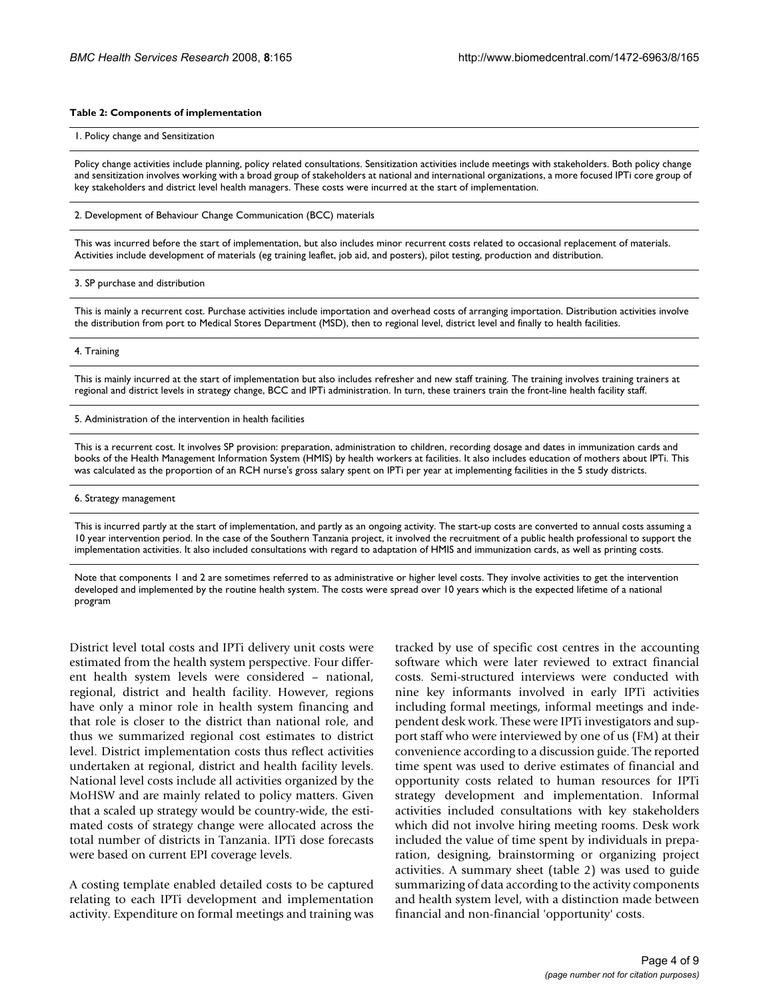#### **Table 2: Components of implementation**

#### 1. Policy change and Sensitization

Policy change activities include planning, policy related consultations. Sensitization activities include meetings with stakeholders. Both policy change and sensitization involves working with a broad group of stakeholders at national and international organizations, a more focused IPTi core group of key stakeholders and district level health managers. These costs were incurred at the start of implementation.

2. Development of Behaviour Change Communication (BCC) materials

This was incurred before the start of implementation, but also includes minor recurrent costs related to occasional replacement of materials. Activities include development of materials (eg training leaflet, job aid, and posters), pilot testing, production and distribution.

#### 3. SP purchase and distribution

This is mainly a recurrent cost. Purchase activities include importation and overhead costs of arranging importation. Distribution activities involve the distribution from port to Medical Stores Department (MSD), then to regional level, district level and finally to health facilities.

#### 4. Training

This is mainly incurred at the start of implementation but also includes refresher and new staff training. The training involves training trainers at regional and district levels in strategy change, BCC and IPTi administration. In turn, these trainers train the front-line health facility staff.

5. Administration of the intervention in health facilities

This is a recurrent cost. It involves SP provision: preparation, administration to children, recording dosage and dates in immunization cards and books of the Health Management Information System (HMIS) by health workers at facilities. It also includes education of mothers about IPTi. This was calculated as the proportion of an RCH nurse's gross salary spent on IPTi per year at implementing facilities in the 5 study districts.

#### 6. Strategy management

This is incurred partly at the start of implementation, and partly as an ongoing activity. The start-up costs are converted to annual costs assuming a 10 year intervention period. In the case of the Southern Tanzania project, it involved the recruitment of a public health professional to support the implementation activities. It also included consultations with regard to adaptation of HMIS and immunization cards, as well as printing costs.

Note that components 1 and 2 are sometimes referred to as administrative or higher level costs. They involve activities to get the intervention developed and implemented by the routine health system. The costs were spread over 10 years which is the expected lifetime of a national program

District level total costs and IPTi delivery unit costs were estimated from the health system perspective. Four different health system levels were considered – national, regional, district and health facility. However, regions have only a minor role in health system financing and that role is closer to the district than national role, and thus we summarized regional cost estimates to district level. District implementation costs thus reflect activities undertaken at regional, district and health facility levels. National level costs include all activities organized by the MoHSW and are mainly related to policy matters. Given that a scaled up strategy would be country-wide, the estimated costs of strategy change were allocated across the total number of districts in Tanzania. IPTi dose forecasts were based on current EPI coverage levels.

A costing template enabled detailed costs to be captured relating to each IPTi development and implementation activity. Expenditure on formal meetings and training was tracked by use of specific cost centres in the accounting software which were later reviewed to extract financial costs. Semi-structured interviews were conducted with nine key informants involved in early IPTi activities including formal meetings, informal meetings and independent desk work. These were IPTi investigators and support staff who were interviewed by one of us (FM) at their convenience according to a discussion guide. The reported time spent was used to derive estimates of financial and opportunity costs related to human resources for IPTi strategy development and implementation. Informal activities included consultations with key stakeholders which did not involve hiring meeting rooms. Desk work included the value of time spent by individuals in preparation, designing, brainstorming or organizing project activities. A summary sheet (table 2) was used to guide summarizing of data according to the activity components and health system level, with a distinction made between financial and non-financial 'opportunity' costs.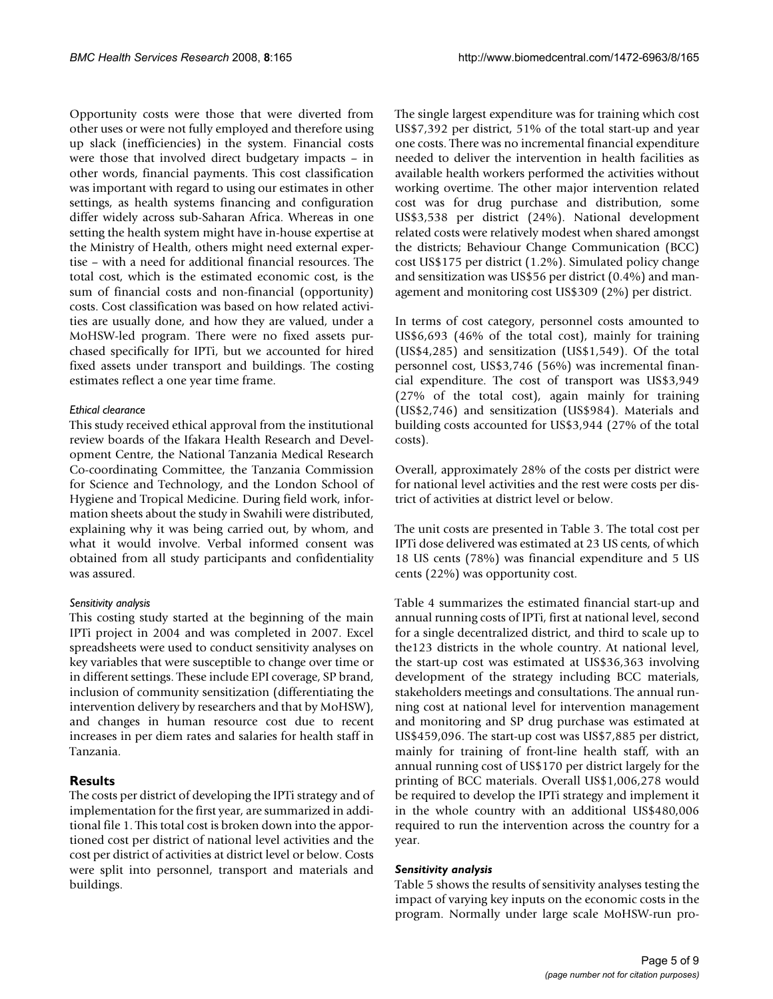Opportunity costs were those that were diverted from other uses or were not fully employed and therefore using up slack (inefficiencies) in the system. Financial costs were those that involved direct budgetary impacts – in other words, financial payments. This cost classification was important with regard to using our estimates in other settings, as health systems financing and configuration differ widely across sub-Saharan Africa. Whereas in one setting the health system might have in-house expertise at the Ministry of Health, others might need external expertise – with a need for additional financial resources. The total cost, which is the estimated economic cost, is the sum of financial costs and non-financial (opportunity) costs. Cost classification was based on how related activities are usually done, and how they are valued, under a MoHSW-led program. There were no fixed assets purchased specifically for IPTi, but we accounted for hired fixed assets under transport and buildings. The costing estimates reflect a one year time frame.

# *Ethical clearance*

This study received ethical approval from the institutional review boards of the Ifakara Health Research and Development Centre, the National Tanzania Medical Research Co-coordinating Committee, the Tanzania Commission for Science and Technology, and the London School of Hygiene and Tropical Medicine. During field work, information sheets about the study in Swahili were distributed, explaining why it was being carried out, by whom, and what it would involve. Verbal informed consent was obtained from all study participants and confidentiality was assured.

# *Sensitivity analysis*

This costing study started at the beginning of the main IPTi project in 2004 and was completed in 2007. Excel spreadsheets were used to conduct sensitivity analyses on key variables that were susceptible to change over time or in different settings. These include EPI coverage, SP brand, inclusion of community sensitization (differentiating the intervention delivery by researchers and that by MoHSW), and changes in human resource cost due to recent increases in per diem rates and salaries for health staff in Tanzania.

# **Results**

The costs per district of developing the IPTi strategy and of implementation for the first year, are summarized in additional file 1. This total cost is broken down into the apportioned cost per district of national level activities and the cost per district of activities at district level or below. Costs were split into personnel, transport and materials and buildings.

The single largest expenditure was for training which cost US\$7,392 per district, 51% of the total start-up and year one costs. There was no incremental financial expenditure needed to deliver the intervention in health facilities as available health workers performed the activities without working overtime. The other major intervention related cost was for drug purchase and distribution, some US\$3,538 per district (24%). National development related costs were relatively modest when shared amongst the districts; Behaviour Change Communication (BCC) cost US\$175 per district (1.2%). Simulated policy change and sensitization was US\$56 per district (0.4%) and management and monitoring cost US\$309 (2%) per district.

In terms of cost category, personnel costs amounted to US\$6,693 (46% of the total cost), mainly for training (US\$4,285) and sensitization (US\$1,549). Of the total personnel cost, US\$3,746 (56%) was incremental financial expenditure. The cost of transport was US\$3,949 (27% of the total cost), again mainly for training (US\$2,746) and sensitization (US\$984). Materials and building costs accounted for US\$3,944 (27% of the total costs).

Overall, approximately 28% of the costs per district were for national level activities and the rest were costs per district of activities at district level or below.

The unit costs are presented in Table 3. The total cost per IPTi dose delivered was estimated at 23 US cents, of which 18 US cents (78%) was financial expenditure and 5 US cents (22%) was opportunity cost.

Table 4 summarizes the estimated financial start-up and annual running costs of IPTi, first at national level, second for a single decentralized district, and third to scale up to the123 districts in the whole country. At national level, the start-up cost was estimated at US\$36,363 involving development of the strategy including BCC materials, stakeholders meetings and consultations. The annual running cost at national level for intervention management and monitoring and SP drug purchase was estimated at US\$459,096. The start-up cost was US\$7,885 per district, mainly for training of front-line health staff, with an annual running cost of US\$170 per district largely for the printing of BCC materials. Overall US\$1,006,278 would be required to develop the IPTi strategy and implement it in the whole country with an additional US\$480,006 required to run the intervention across the country for a year.

#### *Sensitivity analysis*

Table 5 shows the results of sensitivity analyses testing the impact of varying key inputs on the economic costs in the program. Normally under large scale MoHSW-run pro-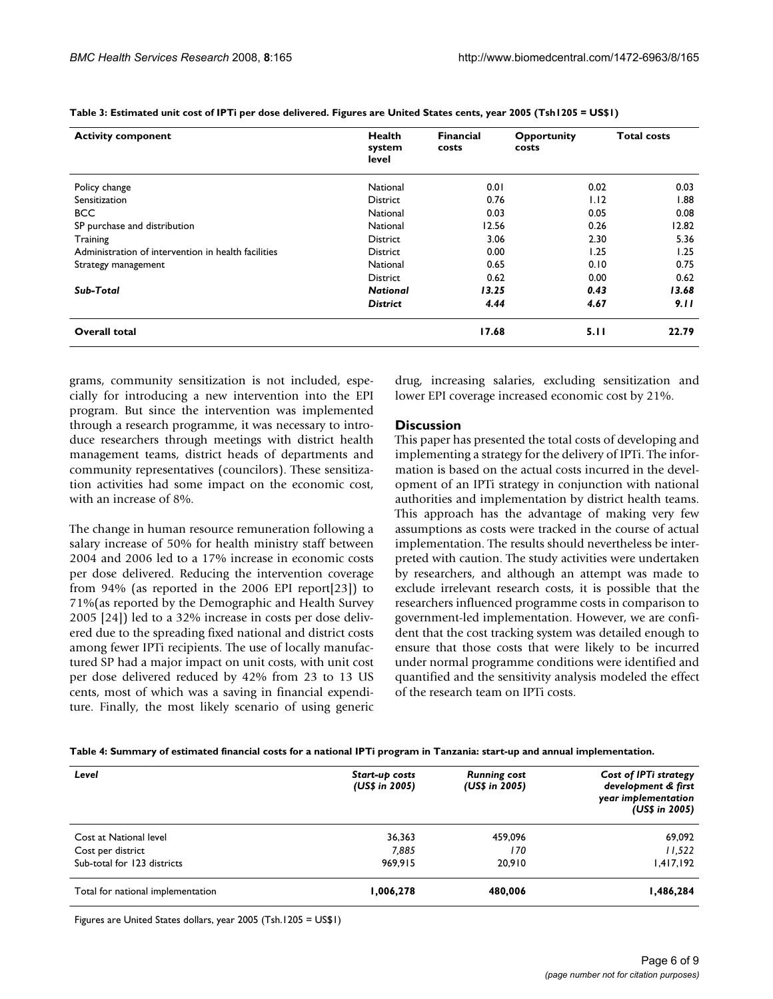| <b>Activity component</b>                           | <b>Health</b><br>system<br>level | <b>Financial</b><br>costs | Opportunity<br>costs | <b>Total costs</b> |
|-----------------------------------------------------|----------------------------------|---------------------------|----------------------|--------------------|
| Policy change                                       | National                         | 0.01                      | 0.02                 | 0.03               |
| Sensitization                                       | District                         | 0.76                      | 1.12                 | 1.88               |
| <b>BCC</b>                                          | National                         | 0.03                      | 0.05                 | 0.08               |
| SP purchase and distribution                        | National                         | 12.56                     | 0.26                 | 12.82              |
| Training                                            | District                         | 3.06                      | 2.30                 | 5.36               |
| Administration of intervention in health facilities | District                         | 0.00                      | 1.25                 | 1.25               |
| Strategy management                                 | National                         | 0.65                      | 0.10                 | 0.75               |
|                                                     | <b>District</b>                  | 0.62                      | 0.00                 | 0.62               |
| Sub-Total                                           | <b>National</b>                  | 13.25                     | 0.43                 | 13.68              |
|                                                     | <b>District</b>                  | 4.44                      | 4.67                 | 9.11               |
| <b>Overall total</b>                                |                                  | 17.68                     | 5.11                 | 22.79              |

**Table 3: Estimated unit cost of IPTi per dose delivered. Figures are United States cents, year 2005 (Tsh1205 = US\$1)**

grams, community sensitization is not included, especially for introducing a new intervention into the EPI program. But since the intervention was implemented through a research programme, it was necessary to introduce researchers through meetings with district health management teams, district heads of departments and community representatives (councilors). These sensitization activities had some impact on the economic cost, with an increase of 8%.

The change in human resource remuneration following a salary increase of 50% for health ministry staff between 2004 and 2006 led to a 17% increase in economic costs per dose delivered. Reducing the intervention coverage from 94% (as reported in the 2006 EPI report[23]) to 71%(as reported by the Demographic and Health Survey 2005 [24]) led to a 32% increase in costs per dose delivered due to the spreading fixed national and district costs among fewer IPTi recipients. The use of locally manufactured SP had a major impact on unit costs, with unit cost per dose delivered reduced by 42% from 23 to 13 US cents, most of which was a saving in financial expenditure. Finally, the most likely scenario of using generic drug, increasing salaries, excluding sensitization and lower EPI coverage increased economic cost by 21%.

# **Discussion**

This paper has presented the total costs of developing and implementing a strategy for the delivery of IPTi. The information is based on the actual costs incurred in the development of an IPTi strategy in conjunction with national authorities and implementation by district health teams. This approach has the advantage of making very few assumptions as costs were tracked in the course of actual implementation. The results should nevertheless be interpreted with caution. The study activities were undertaken by researchers, and although an attempt was made to exclude irrelevant research costs, it is possible that the researchers influenced programme costs in comparison to government-led implementation. However, we are confident that the cost tracking system was detailed enough to ensure that those costs that were likely to be incurred under normal programme conditions were identified and quantified and the sensitivity analysis modeled the effect of the research team on IPTi costs.

**Table 4: Summary of estimated financial costs for a national IPTi program in Tanzania: start-up and annual implementation.** 

| Level                             | Start-up costs<br>(US\$ in 2005) | <b>Running cost</b><br>(US\$ in 2005) | Cost of IPTi strategy<br>development & first<br>year implementation<br>(US\$ in 2005) |
|-----------------------------------|----------------------------------|---------------------------------------|---------------------------------------------------------------------------------------|
| Cost at National level            | 36,363                           | 459,096                               | 69,092                                                                                |
| Cost per district                 | 7.885                            | 170                                   | 11,522                                                                                |
| Sub-total for 123 districts       | 969,915                          | 20,910                                | 1,417,192                                                                             |
| Total for national implementation | 1,006,278                        | 480,006                               | 1,486,284                                                                             |

Figures are United States dollars, year 2005 (Tsh.1205 = US\$1)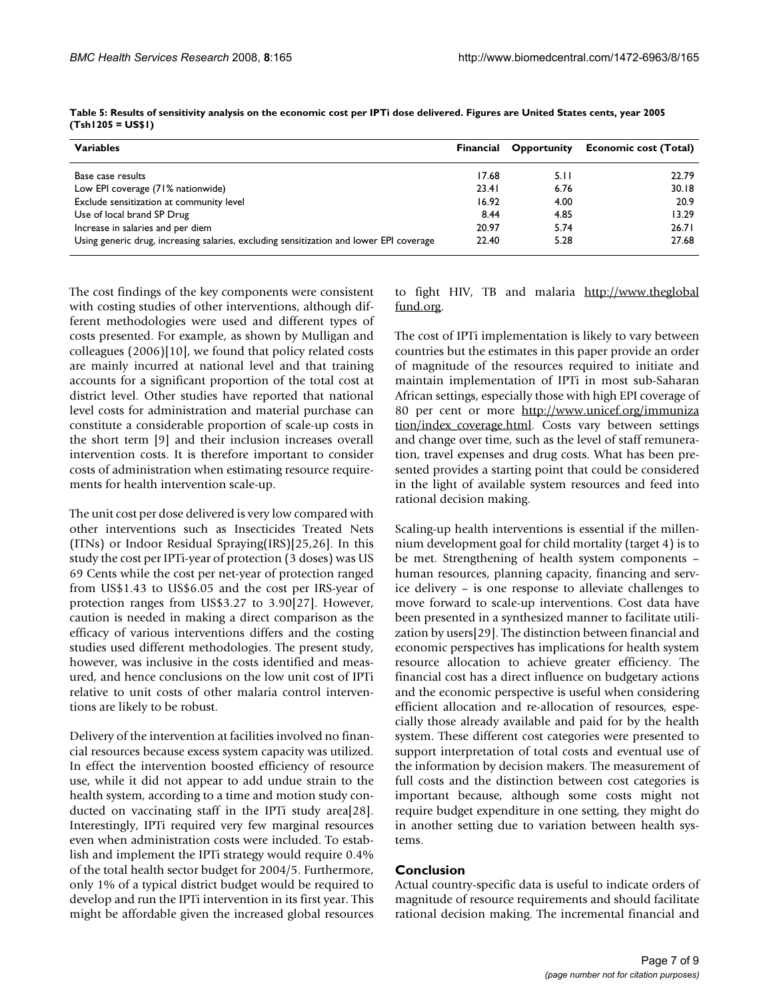| <b>Variables</b>                                                                        | Financial | Opportunity | Economic cost (Total) |
|-----------------------------------------------------------------------------------------|-----------|-------------|-----------------------|
| Base case results                                                                       | 17.68     | 5.II        | 22.79                 |
| Low EPI coverage (71% nationwide)                                                       | 23.41     | 6.76        | 30.18                 |
| Exclude sensitization at community level                                                | 16.92     | 4.00        | 20.9                  |
| Use of local brand SP Drug                                                              | 8.44      | 4.85        | 13.29                 |
| Increase in salaries and per diem                                                       | 20.97     | 5.74        | 26.71                 |
| Using generic drug, increasing salaries, excluding sensitization and lower EPI coverage | 22.40     | 5.28        | 27.68                 |

**Table 5: Results of sensitivity analysis on the economic cost per IPTi dose delivered. Figures are United States cents, year 2005 (Tsh1205 = US\$1)**

The cost findings of the key components were consistent with costing studies of other interventions, although different methodologies were used and different types of costs presented. For example, as shown by Mulligan and colleagues (2006)[10], we found that policy related costs are mainly incurred at national level and that training accounts for a significant proportion of the total cost at district level. Other studies have reported that national level costs for administration and material purchase can constitute a considerable proportion of scale-up costs in the short term [9] and their inclusion increases overall intervention costs. It is therefore important to consider costs of administration when estimating resource requirements for health intervention scale-up.

The unit cost per dose delivered is very low compared with other interventions such as Insecticides Treated Nets (ITNs) or Indoor Residual Spraying(IRS)[25,26]. In this study the cost per IPTi-year of protection (3 doses) was US 69 Cents while the cost per net-year of protection ranged from US\$1.43 to US\$6.05 and the cost per IRS-year of protection ranges from US\$3.27 to 3.90[27]. However, caution is needed in making a direct comparison as the efficacy of various interventions differs and the costing studies used different methodologies. The present study, however, was inclusive in the costs identified and measured, and hence conclusions on the low unit cost of IPTi relative to unit costs of other malaria control interventions are likely to be robust.

Delivery of the intervention at facilities involved no financial resources because excess system capacity was utilized. In effect the intervention boosted efficiency of resource use, while it did not appear to add undue strain to the health system, according to a time and motion study conducted on vaccinating staff in the IPTi study area[28]. Interestingly, IPTi required very few marginal resources even when administration costs were included. To establish and implement the IPTi strategy would require 0.4% of the total health sector budget for 2004/5. Furthermore, only 1% of a typical district budget would be required to develop and run the IPTi intervention in its first year. This might be affordable given the increased global resources to fight HIV, TB and malaria [http://www.theglobal](http://www.theglobalfund.org) [fund.org](http://www.theglobalfund.org).

The cost of IPTi implementation is likely to vary between countries but the estimates in this paper provide an order of magnitude of the resources required to initiate and maintain implementation of IPTi in most sub-Saharan African settings, especially those with high EPI coverage of 80 per cent or more [http://www.unicef.org/immuniza](http://www.unicef.org/immunization/index_coverage.html) [tion/index\\_coverage.html](http://www.unicef.org/immunization/index_coverage.html). Costs vary between settings and change over time, such as the level of staff remuneration, travel expenses and drug costs. What has been presented provides a starting point that could be considered in the light of available system resources and feed into rational decision making.

Scaling-up health interventions is essential if the millennium development goal for child mortality (target 4) is to be met. Strengthening of health system components – human resources, planning capacity, financing and service delivery – is one response to alleviate challenges to move forward to scale-up interventions. Cost data have been presented in a synthesized manner to facilitate utilization by users[29]. The distinction between financial and economic perspectives has implications for health system resource allocation to achieve greater efficiency. The financial cost has a direct influence on budgetary actions and the economic perspective is useful when considering efficient allocation and re-allocation of resources, especially those already available and paid for by the health system. These different cost categories were presented to support interpretation of total costs and eventual use of the information by decision makers. The measurement of full costs and the distinction between cost categories is important because, although some costs might not require budget expenditure in one setting, they might do in another setting due to variation between health systems.

# **Conclusion**

Actual country-specific data is useful to indicate orders of magnitude of resource requirements and should facilitate rational decision making. The incremental financial and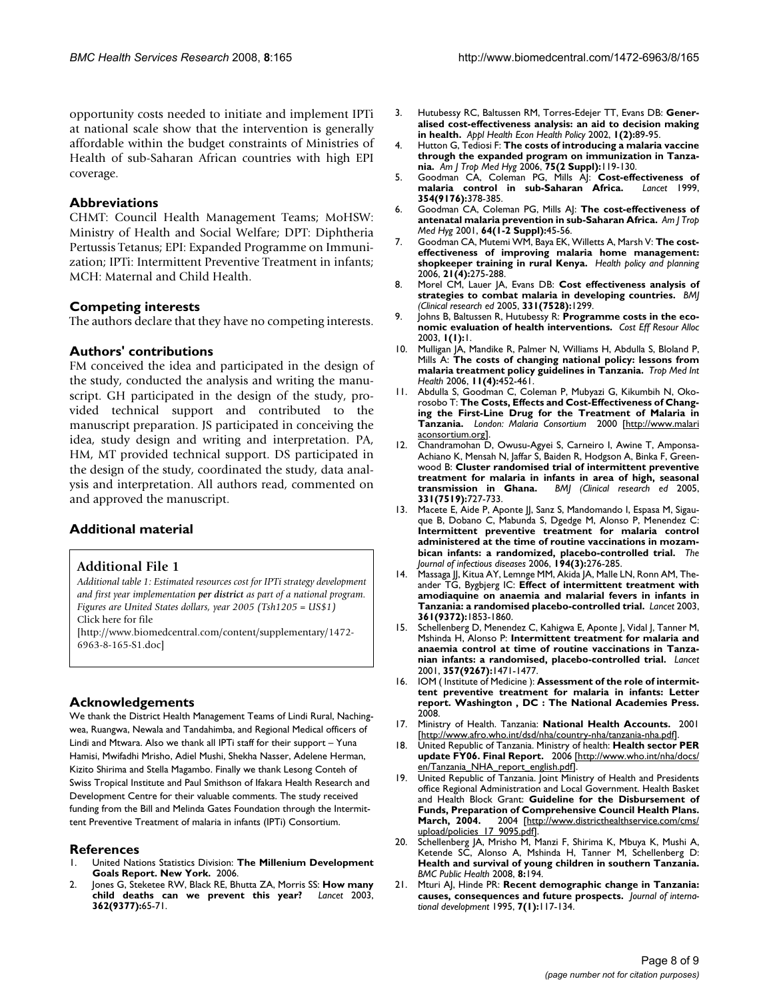opportunity costs needed to initiate and implement IPTi at national scale show that the intervention is generally affordable within the budget constraints of Ministries of Health of sub-Saharan African countries with high EPI coverage.

# **Abbreviations**

CHMT: Council Health Management Teams; MoHSW: Ministry of Health and Social Welfare; DPT: Diphtheria Pertussis Tetanus; EPI: Expanded Programme on Immunization; IPTi: Intermittent Preventive Treatment in infants; MCH: Maternal and Child Health.

# **Competing interests**

The authors declare that they have no competing interests.

# **Authors' contributions**

FM conceived the idea and participated in the design of the study, conducted the analysis and writing the manuscript. GH participated in the design of the study, provided technical support and contributed to the manuscript preparation. JS participated in conceiving the idea, study design and writing and interpretation. PA, HM, MT provided technical support. DS participated in the design of the study, coordinated the study, data analysis and interpretation. All authors read, commented on and approved the manuscript.

# **Additional material**

# **Additional File 1**

*Additional table 1: Estimated resources cost for IPTi strategy development and first year implementation per district as part of a national program. Figures are United States dollars, year 2005 (Tsh1205 = US\$1)* Click here for file

[\[http://www.biomedcentral.com/content/supplementary/1472-](http://www.biomedcentral.com/content/supplementary/1472-6963-8-165-S1.doc) 6963-8-165-S1.doc]

# **Acknowledgements**

We thank the District Health Management Teams of Lindi Rural, Nachingwea, Ruangwa, Newala and Tandahimba, and Regional Medical officers of Lindi and Mtwara. Also we thank all IPTi staff for their support – Yuna Hamisi, Mwifadhi Mrisho, Adiel Mushi, Shekha Nasser, Adelene Herman, Kizito Shirima and Stella Magambo. Finally we thank Lesong Conteh of Swiss Tropical Institute and Paul Smithson of Ifakara Health Research and Development Centre for their valuable comments. The study received funding from the Bill and Melinda Gates Foundation through the Intermittent Preventive Treatment of malaria in infants (IPTi) Consortium.

#### **References**

- 1. United Nations Statistics Division: **The Millenium Development Goals Report. New York.** 2006.
- 2. Jones G, Steketee RW, Black RE, Bhutta ZA, Morris SS: **[How many](http://www.ncbi.nlm.nih.gov/entrez/query.fcgi?cmd=Retrieve&db=PubMed&dopt=Abstract&list_uids=12853204) [child deaths can we prevent this year?](http://www.ncbi.nlm.nih.gov/entrez/query.fcgi?cmd=Retrieve&db=PubMed&dopt=Abstract&list_uids=12853204)** *Lancet* 2003, **362(9377):**65-71.
- 3. Hutubessy RC, Baltussen RM, Torres-Edejer TT, Evans DB: **[Gener](http://www.ncbi.nlm.nih.gov/entrez/query.fcgi?cmd=Retrieve&db=PubMed&dopt=Abstract&list_uids=14619255)[alised cost-effectiveness analysis: an aid to decision making](http://www.ncbi.nlm.nih.gov/entrez/query.fcgi?cmd=Retrieve&db=PubMed&dopt=Abstract&list_uids=14619255) [in health.](http://www.ncbi.nlm.nih.gov/entrez/query.fcgi?cmd=Retrieve&db=PubMed&dopt=Abstract&list_uids=14619255)** *Appl Health Econ Health Policy* 2002, **1(2):**89-95.
- 4. Hutton G, Tediosi F: **[The costs of introducing a malaria vaccine](http://www.ncbi.nlm.nih.gov/entrez/query.fcgi?cmd=Retrieve&db=PubMed&dopt=Abstract&list_uids=16931823) [through the expanded program on immunization in Tanza](http://www.ncbi.nlm.nih.gov/entrez/query.fcgi?cmd=Retrieve&db=PubMed&dopt=Abstract&list_uids=16931823)[nia.](http://www.ncbi.nlm.nih.gov/entrez/query.fcgi?cmd=Retrieve&db=PubMed&dopt=Abstract&list_uids=16931823)** *Am J Trop Med Hyg* 2006, **75(2 Suppl):**119-130.
- 5. Goodman CA, Coleman PG, Mills AJ: **[Cost-effectiveness of](http://www.ncbi.nlm.nih.gov/entrez/query.fcgi?cmd=Retrieve&db=PubMed&dopt=Abstract&list_uids=10437867)** [malaria control in sub-Saharan Africa.](http://www.ncbi.nlm.nih.gov/entrez/query.fcgi?cmd=Retrieve&db=PubMed&dopt=Abstract&list_uids=10437867) **354(9176):**378-385.
- 6. Goodman CA, Coleman PG, Mills AJ: **[The cost-effectiveness of](http://www.ncbi.nlm.nih.gov/entrez/query.fcgi?cmd=Retrieve&db=PubMed&dopt=Abstract&list_uids=11425177) [antenatal malaria prevention in sub-Saharan Africa.](http://www.ncbi.nlm.nih.gov/entrez/query.fcgi?cmd=Retrieve&db=PubMed&dopt=Abstract&list_uids=11425177)** *Am J Trop Med Hyg* 2001, **64(1-2 Suppl):**45-56.
- 7. Goodman CA, Mutemi WM, Baya EK, Willetts A, Marsh V: **The costeffectiveness of improving malaria home management: shopkeeper training in rural Kenya.** *Health policy and planning* 2006, **21(4):**275-288.
- 8. Morel CM, Lauer JA, Evans DB: **[Cost effectiveness analysis of](http://www.ncbi.nlm.nih.gov/entrez/query.fcgi?cmd=Retrieve&db=PubMed&dopt=Abstract&list_uids=16282381) [strategies to combat malaria in developing countries.](http://www.ncbi.nlm.nih.gov/entrez/query.fcgi?cmd=Retrieve&db=PubMed&dopt=Abstract&list_uids=16282381)** *BMJ (Clinical research ed* 2005, **331(7528):**1299.
- 9. Johns B, Baltussen R, Hutubessy R: **[Programme costs in the eco](http://www.ncbi.nlm.nih.gov/entrez/query.fcgi?cmd=Retrieve&db=PubMed&dopt=Abstract&list_uids=12773220)[nomic evaluation of health interventions.](http://www.ncbi.nlm.nih.gov/entrez/query.fcgi?cmd=Retrieve&db=PubMed&dopt=Abstract&list_uids=12773220)** *Cost Eff Resour Alloc* 2003, **1(1):**1.
- 10. Mulligan JA, Mandike R, Palmer N, Williams H, Abdulla S, Bloland P, Mills A: **[The costs of changing national policy: lessons from](http://www.ncbi.nlm.nih.gov/entrez/query.fcgi?cmd=Retrieve&db=PubMed&dopt=Abstract&list_uids=16553928) [malaria treatment policy guidelines in Tanzania.](http://www.ncbi.nlm.nih.gov/entrez/query.fcgi?cmd=Retrieve&db=PubMed&dopt=Abstract&list_uids=16553928)** *Trop Med Int Health* 2006, **11(4):**452-461.
- 11. Abdulla S, Goodman C, Coleman P, Mubyazi G, Kikumbih N, Okorosobo T: **The Costs, Effects and Cost-Effectiveness of Changing the First-Line Drug for the Treatment of Malaria in Tanzania.** *London: Malaria Consortium* 2000 [[http://www.malari](http://www.malariaconsortium.org) [aconsortium.org](http://www.malariaconsortium.org)].
- 12. Chandramohan D, Owusu-Agyei S, Carneiro I, Awine T, Amponsa-Achiano K, Mensah N, Jaffar S, Baiden R, Hodgson A, Binka F, Greenwood B: **[Cluster randomised trial of intermittent preventive](http://www.ncbi.nlm.nih.gov/entrez/query.fcgi?cmd=Retrieve&db=PubMed&dopt=Abstract&list_uids=16195288) [treatment for malaria in infants in area of high, seasonal](http://www.ncbi.nlm.nih.gov/entrez/query.fcgi?cmd=Retrieve&db=PubMed&dopt=Abstract&list_uids=16195288) [transmission in Ghana.](http://www.ncbi.nlm.nih.gov/entrez/query.fcgi?cmd=Retrieve&db=PubMed&dopt=Abstract&list_uids=16195288)** *BMJ (Clinical research ed* 2005, **331(7519):**727-733.
- 13. Macete E, Aide P, Aponte JJ, Sanz S, Mandomando I, Espasa M, Sigauque B, Dobano C, Mabunda S, Dgedge M, Alonso P, Menendez C: **[Intermittent preventive treatment for malaria control](http://www.ncbi.nlm.nih.gov/entrez/query.fcgi?cmd=Retrieve&db=PubMed&dopt=Abstract&list_uids=16826474) administered at the time of routine vaccinations in mozam[bican infants: a randomized, placebo-controlled trial.](http://www.ncbi.nlm.nih.gov/entrez/query.fcgi?cmd=Retrieve&db=PubMed&dopt=Abstract&list_uids=16826474)** *The Journal of infectious diseases* 2006, **194(3):**276-285.
- 14. Massaga JJ, Kitua AY, Lemnge MM, Akida JA, Malle LN, Ronn AM, Theander TG, Bygbjerg IC: **[Effect of intermittent treatment with](http://www.ncbi.nlm.nih.gov/entrez/query.fcgi?cmd=Retrieve&db=PubMed&dopt=Abstract&list_uids=12788572) [amodiaquine on anaemia and malarial fevers in infants in](http://www.ncbi.nlm.nih.gov/entrez/query.fcgi?cmd=Retrieve&db=PubMed&dopt=Abstract&list_uids=12788572) [Tanzania: a randomised placebo-controlled trial.](http://www.ncbi.nlm.nih.gov/entrez/query.fcgi?cmd=Retrieve&db=PubMed&dopt=Abstract&list_uids=12788572)** *Lancet* 2003, **361(9372):**1853-1860.
- 15. Schellenberg D, Menendez C, Kahigwa E, Aponte J, Vidal J, Tanner M, Mshinda H, Alonso P: **[Intermittent treatment for malaria and](http://www.ncbi.nlm.nih.gov/entrez/query.fcgi?cmd=Retrieve&db=PubMed&dopt=Abstract&list_uids=11377597) [anaemia control at time of routine vaccinations in Tanza](http://www.ncbi.nlm.nih.gov/entrez/query.fcgi?cmd=Retrieve&db=PubMed&dopt=Abstract&list_uids=11377597)[nian infants: a randomised, placebo-controlled trial.](http://www.ncbi.nlm.nih.gov/entrez/query.fcgi?cmd=Retrieve&db=PubMed&dopt=Abstract&list_uids=11377597)** *Lancet* 2001, **357(9267):**1471-1477.
- 16. IOM ( Institute of Medicine ): **Assessment of the role of intermittent preventive treatment for malaria in infants: Letter report. Washington , DC : The National Academies Press.** 2008.
- 17. Ministry of Health. Tanzania: **National Health Accounts.** 2001 [<http://www.afro.who.int/dsd/nha/country-nha/tanzania-nha.pdf>].
- 18. United Republic of Tanzania. Ministry of health: **Health sector PER update FY06. Final Report.** 2006 [[http://www.who.int/nha/docs/](http://www.who.int/nha/docs/en/Tanzania_NHA_report_english.pdf) [en/Tanzania\\_NHA\\_report\\_english.pdf\]](http://www.who.int/nha/docs/en/Tanzania_NHA_report_english.pdf).
- 19. United Republic of Tanzania. Joint Ministry of Health and Presidents office Regional Administration and Local Government. Health Basket and Health Block Grant: **Guideline for the Disbursement of** Funds, Preparation of Comprehensive Council Health Plans.<br>March, 2004. 2004 [http://www.districthealthservice.com/cms/ 2004 [\[http://www.districthealthservice.com/cms/](http://www.districthealthservice.com/cms/upload/policies_17_9095.pdf) viarch, 2004. 2004 <u>Inte</u><br>upload/policies 17 9095.pdfl.
- 20. Schellenberg JA, Mrisho M, Manzi F, Shirima K, Mbuya K, Mushi A, Ketende SC, Alonso A, Mshinda H, Tanner M, Schellenberg D: **[Health and survival of young children in southern Tanzania.](http://www.ncbi.nlm.nih.gov/entrez/query.fcgi?cmd=Retrieve&db=PubMed&dopt=Abstract&list_uids=18522737)** *BMC Public Health* 2008, **8:**194.
- 21. Mturi AJ, Hinde PR: **[Recent demographic change in Tanzania:](http://www.ncbi.nlm.nih.gov/entrez/query.fcgi?cmd=Retrieve&db=PubMed&dopt=Abstract&list_uids=12319909) [causes, consequences and future prospects.](http://www.ncbi.nlm.nih.gov/entrez/query.fcgi?cmd=Retrieve&db=PubMed&dopt=Abstract&list_uids=12319909)** *Journal of international development* 1995, **7(1):**117-134.